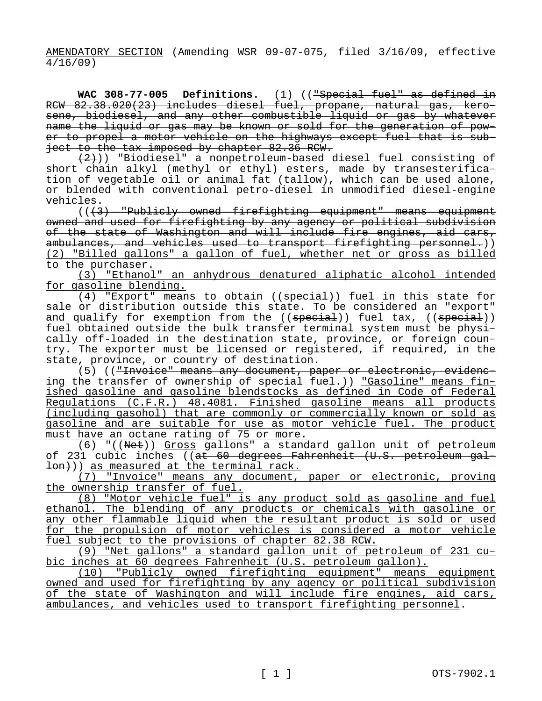AMENDATORY SECTION (Amending WSR 09-07-075, filed 3/16/09, effective  $\frac{1}{4}$ /16/09)

**WAC 308-77-005 Definitions.** (1) (("Special fuel" as defined in RCW 82.38.020(23) includes diesel fuel, propane, natural gas, kerosene, biodiesel, and any other combustible liquid or gas by whatever name the liquid or gas may be known or sold for the generation of power to propel a motor vehicle on the highways except fuel that is subject to the tax imposed by chapter 82.36 RCW.

(2))) "Biodiesel" a nonpetroleum-based diesel fuel consisting of short chain alkyl (methyl or ethyl) esters, made by transesterification of vegetable oil or animal fat (tallow), which can be used alone, or blended with conventional petro-diesel in unmodified diesel-engine vehicles.

(((3) "Publicly owned firefighting equipment" means equipment owned and used for firefighting by any agency or political subdivision of the state of Washington and will include fire engines, aid cars, ambulances, and vehicles used to transport firefighting personnel.)) (2) "Billed gallons" a gallon of fuel, whether net or gross as billed to the purchaser.

(3) "Ethanol" an anhydrous denatured aliphatic alcohol intended for gasoline blending.

 $(4)$  "Export" means to obtain  $((\text{special}))$  fuel in this state for sale or distribution outside this state. To be considered an "export" and qualify for exemption from the ((special)) fuel tax, ((special)) fuel obtained outside the bulk transfer terminal system must be physically off-loaded in the destination state, province, or foreign country. The exporter must be licensed or registered, if required, in the state, province, or country of destination.

(5) (("Invoice" means any document, paper or electronic, evidencing the transfer of ownership of special fuel.)) "Gasoline" means finished gasoline and gasoline blendstocks as defined in Code of Federal Regulations (C.F.R.) 48.4081. Finished gasoline means all products (including gasohol) that are commonly or commercially known or sold as gasoline and are suitable for use as motor vehicle fuel. The product must have an octane rating of 75 or more.

(6) "((Net)) Gross gallons" a standard gallon unit of petroleum of 231 cubic inches ((at 60 degrees Fahrenheit (U.S. petroleum gal- $\{\pm 0$ )) as measured at the terminal rack.

(7) "Invoice" means any document, paper or electronic, proving the ownership transfer of fuel.

(8) "Motor vehicle fuel" is any product sold as gasoline and fuel ethanol. The blending of any products or chemicals with gasoline or any other flammable liquid when the resultant product is sold or used for the propulsion of motor vehicles is considered a motor vehicle fuel subject to the provisions of chapter 82.38 RCW.

(9) "Net gallons" a standard gallon unit of petroleum of 231 cubic inches at 60 degrees Fahrenheit (U.S. petroleum gallon).

(10) "Publicly owned firefighting equipment" means equipment owned and used for firefighting by any agency or political subdivision of the state of Washington and will include fire engines, aid cars, ambulances, and vehicles used to transport firefighting personnel.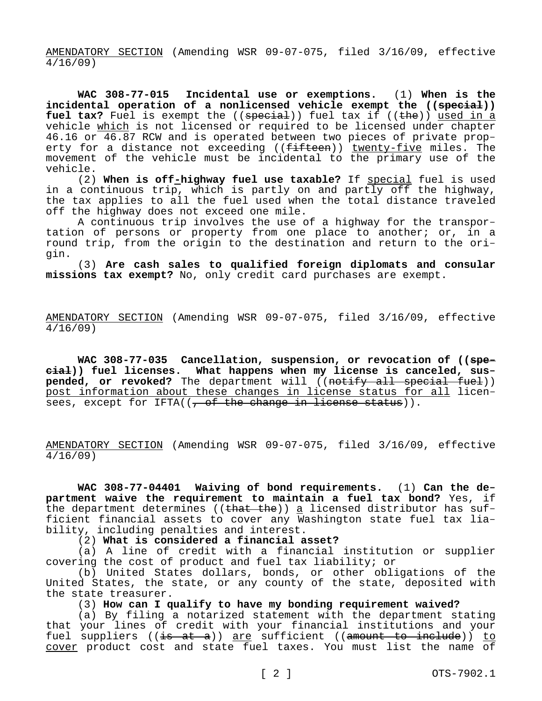AMENDATORY SECTION (Amending WSR 09-07-075, filed 3/16/09, effective 4/16/09)

**WAC 308-77-015 Incidental use or exemptions.** (1) **When is the incidental operation of a nonlicensed vehicle exempt the ((special))**  fuel tax? Fuel is exempt the ((special)) fuel tax if ((the)) used in a vehicle which is not licensed or required to be licensed under chapter 46.16 or 46.87 RCW and is operated between two pieces of private property for a distance not exceeding ((fifteen)) twenty-five miles. The movement of the vehicle must be incidental to the primary use of the vehicle.

(2) **When is off-highway fuel use taxable?** If special fuel is used in a continuous trip, which is partly on and partly off the highway, the tax applies to all the fuel used when the total distance traveled off the highway does not exceed one mile.

A continuous trip involves the use of a highway for the transportation of persons or property from one place to another; or, in a round trip, from the origin to the destination and return to the origin.

(3) **Are cash sales to qualified foreign diplomats and consular missions tax exempt?** No, only credit card purchases are exempt.

AMENDATORY SECTION (Amending WSR 09-07-075, filed 3/16/09, effective 4/16/09)

**WAC 308-77-035 Cancellation, suspension, or revocation of ((special)) fuel licenses. What happens when my license is canceled, suspended, or revoked?** The department will ((notify all special fuel)) post information about these changes in license status for all licensees, except for IFTA( $($ , of the change in license status)).

AMENDATORY SECTION (Amending WSR 09-07-075, filed 3/16/09, effective 4/16/09)

**WAC 308-77-04401 Waiving of bond requirements.** (1) **Can the department waive the requirement to maintain a fuel tax bond?** Yes, if the department determines (( $t$ hat the)) a licensed distributor has sufficient financial assets to cover any Washington state fuel tax liability, including penalties and interest.

(2) **What is considered a financial asset?**

(a) A line of credit with a financial institution or supplier covering the cost of product and fuel tax liability; or

(b) United States dollars, bonds, or other obligations of the United States, the state, or any county of the state, deposited with the state treasurer.

(3) **How can I qualify to have my bonding requirement waived?**

(a) By filing a notarized statement with the department stating that your lines of credit with your financial institutions and your fuel suppliers ((is at a)) are sufficient ((amount to include)) to cover product cost and state fuel taxes. You must list the name of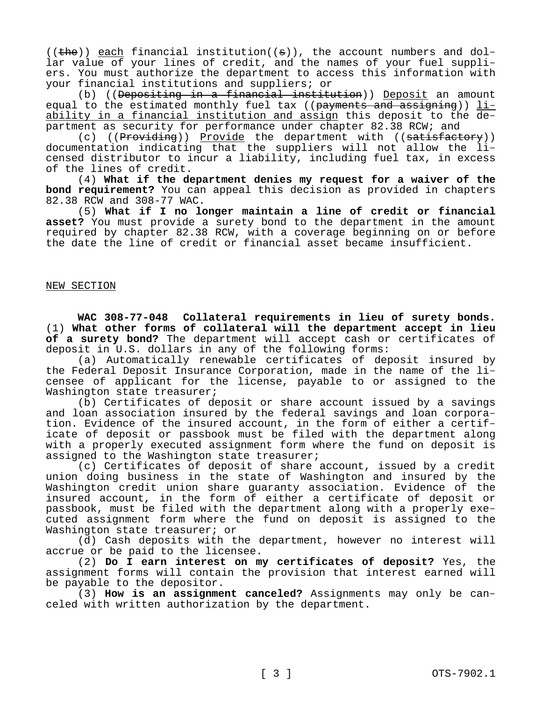$((the))$  each financial institution( $(s)$ ), the account numbers and dollar value of your lines of credit, and the names of your fuel suppliers. You must authorize the department to access this information with your financial institutions and suppliers; or

(b) ((Depositing in a financial institution)) Deposit an amount equal to the estimated monthly fuel tax ((payments and assigning)) liability in a financial institution and assign this deposit to the department as security for performance under chapter 82.38 RCW; and

(c) ((Providing)) Provide the department with ((satisfactory)) documentation indicating that the suppliers will not allow the licensed distributor to incur a liability, including fuel tax, in excess of the lines of credit.

(4) **What if the department denies my request for a waiver of the bond requirement?** You can appeal this decision as provided in chapters 82.38 RCW and 308-77 WAC.

(5) **What if I no longer maintain a line of credit or financial asset?** You must provide a surety bond to the department in the amount required by chapter 82.38 RCW, with a coverage beginning on or before the date the line of credit or financial asset became insufficient.

### NEW SECTION

**WAC 308-77-048 Collateral requirements in lieu of surety bonds.**  (1) **What other forms of collateral will the department accept in lieu of a surety bond?** The department will accept cash or certificates of deposit in U.S. dollars in any of the following forms:

(a) Automatically renewable certificates of deposit insured by the Federal Deposit Insurance Corporation, made in the name of the licensee of applicant for the license, payable to or assigned to the Washington state treasurer;

(b) Certificates of deposit or share account issued by a savings and loan association insured by the federal savings and loan corporation. Evidence of the insured account, in the form of either a certificate of deposit or passbook must be filed with the department along with a properly executed assignment form where the fund on deposit is assigned to the Washington state treasurer;

(c) Certificates of deposit of share account, issued by a credit union doing business in the state of Washington and insured by the Washington credit union share guaranty association. Evidence of the insured account, in the form of either a certificate of deposit or passbook, must be filed with the department along with a properly executed assignment form where the fund on deposit is assigned to the Washington state treasurer; or

(d) Cash deposits with the department, however no interest will accrue or be paid to the licensee.

(2) **Do I earn interest on my certificates of deposit?** Yes, the assignment forms will contain the provision that interest earned will be payable to the depositor.

(3) **How is an assignment canceled?** Assignments may only be canceled with written authorization by the department.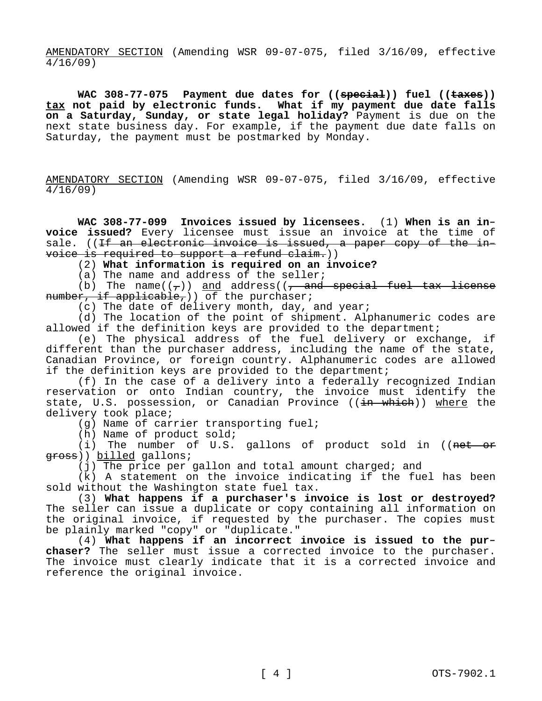AMENDATORY SECTION (Amending WSR 09-07-075, filed 3/16/09, effective 4/16/09)

WAC 308-77-075 Payment due dates for ((special)) fuel ((taxes)) **tax not paid by electronic funds. What if my payment due date falls on a Saturday, Sunday, or state legal holiday?** Payment is due on the next state business day. For example, if the payment due date falls on Saturday, the payment must be postmarked by Monday.

AMENDATORY SECTION (Amending WSR 09-07-075, filed 3/16/09, effective 4/16/09)

**WAC 308-77-099 Invoices issued by licensees.** (1) **When is an invoice issued?** Every licensee must issue an invoice at the time of sale. ((If an electronic invoice is issued, a paper copy of the invoice is required to support a refund claim.))

(2) **What information is required on an invoice?**

(a) The name and address of the seller;

(b) The name( $(\tau)$ ) and address( $(\tau)$  and special fuel tax license number, if applicable, ) of the purchaser;

(c) The date of delivery month, day, and year;

(d) The location of the point of shipment. Alphanumeric codes are allowed if the definition keys are provided to the department;

(e) The physical address of the fuel delivery or exchange, if different than the purchaser address, including the name of the state, Canadian Province, or foreign country. Alphanumeric codes are allowed if the definition keys are provided to the department;

(f) In the case of a delivery into a federally recognized Indian reservation or onto Indian country, the invoice must identify the state, U.S. possession, or Canadian Province ((in which)) where the delivery took place;

(g) Name of carrier transporting fuel;

(h) Name of product sold;

(i) The number of U.S. gallons of product sold in (( $net$  $-$ or gross)) billed gallons;

(j) The price per gallon and total amount charged; and

(k) A statement on the invoice indicating if the fuel has been sold without the Washington state fuel tax.

(3) **What happens if a purchaser's invoice is lost or destroyed?**  The seller can issue a duplicate or copy containing all information on the original invoice, if requested by the purchaser. The copies must be plainly marked "copy" or "duplicate."

(4) **What happens if an incorrect invoice is issued to the purchaser?** The seller must issue a corrected invoice to the purchaser. The invoice must clearly indicate that it is a corrected invoice and reference the original invoice.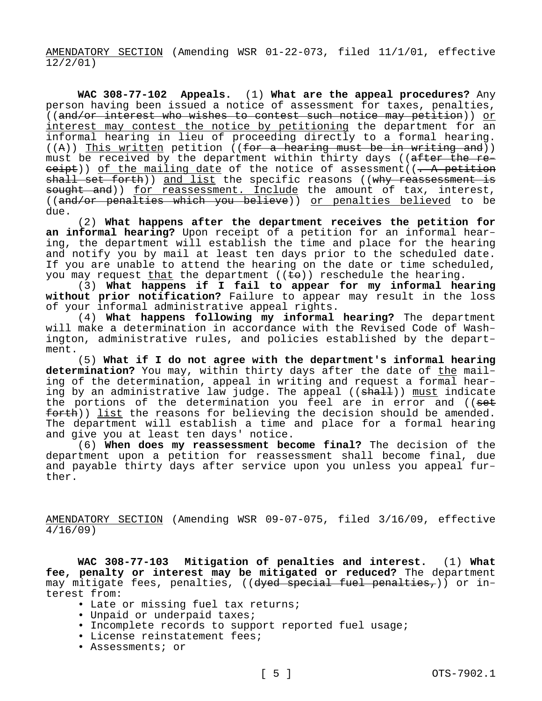AMENDATORY SECTION (Amending WSR 01-22-073, filed 11/1/01, effective 12/2/01)

**WAC 308-77-102 Appeals.** (1) **What are the appeal procedures?** Any person having been issued a notice of assessment for taxes, penalties, ((and/or interest who wishes to contest such notice may petition)) or interest may contest the notice by petitioning the department for an informal hearing in lieu of proceeding directly to a formal hearing.  $((A))$  This written petition ((for a hearing must be in writing and)) must be received by the department within thirty days ((after the re $e^{i\theta}$ )) of the mailing date of the notice of assessment((. A petition shall set forth)) and list the specific reasons ((why reassessment is sought and)) for reassessment. Include the amount of tax, interest, ((and/or penalties which you believe)) or penalties believed to be due.

(2) **What happens after the department receives the petition for an informal hearing?** Upon receipt of a petition for an informal hearing, the department will establish the time and place for the hearing and notify you by mail at least ten days prior to the scheduled date. If you are unable to attend the hearing on the date or time scheduled, you may request that the department  $((\pm e))$  reschedule the hearing.

(3) **What happens if I fail to appear for my informal hearing without prior notification?** Failure to appear may result in the loss of your informal administrative appeal rights.

(4) **What happens following my informal hearing?** The department will make a determination in accordance with the Revised Code of Washington, administrative rules, and policies established by the department.

(5) **What if I do not agree with the department's informal hearing determination?** You may, within thirty days after the date of the mailing of the determination, appeal in writing and request a formal hearing by an administrative law judge. The appeal ((<del>shall</del>)) must indicate the portions of the determination you feel are in error and ((<del>set</del>  $f$ orth)) list the reasons for believing the decision should be amended. The department will establish a time and place for a formal hearing and give you at least ten days' notice.

(6) **When does my reassessment become final?** The decision of the department upon a petition for reassessment shall become final, due and payable thirty days after service upon you unless you appeal further.

AMENDATORY SECTION (Amending WSR 09-07-075, filed 3/16/09, effective 4/16/09)

**WAC 308-77-103 Mitigation of penalties and interest.** (1) **What fee, penalty or interest may be mitigated or reduced?** The department may mitigate fees, penalties, ((dyed special fuel penalties,)) or interest from:

- Late or missing fuel tax returns;
- Unpaid or underpaid taxes;
- Incomplete records to support reported fuel usage;
- License reinstatement fees;
- Assessments; or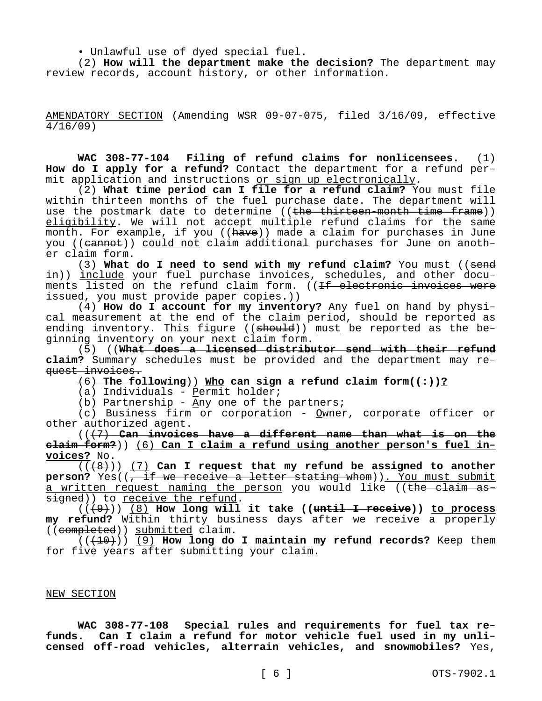• Unlawful use of dyed special fuel.

(2) **How will the department make the decision?** The department may review records, account history, or other information.

AMENDATORY SECTION (Amending WSR 09-07-075, filed 3/16/09, effective 4/16/09)

**WAC 308-77-104 Filing of refund claims for nonlicensees.** (1) **How do I apply for a refund?** Contact the department for a refund permit application and instructions or sign up electronically.

(2) **What time period can I file for a refund claim?** You must file within thirteen months of the fuel purchase date. The department will use the postmark date to determine ((the thirteen-month time frame)) eligibility. We will not accept multiple refund claims for the same month. For example, if you ((have)) made a claim for purchases in June you ((cannot)) could not claim additional purchases for June on another claim form.

(3) **What do I need to send with my refund claim?** You must ((send <del>in</del>)) <u>include</u> your fuel purchase invoices, schedules, and other documents listed on the refund claim form. ((<del>If electronic invoices were</del> issued, you must provide paper copies.))

(4) **How do I account for my inventory?** Any fuel on hand by physical measurement at the end of the claim period, should be reported as ending inventory. This figure ((should)) must be reported as the beginning inventory on your next claim form.

(5) ((**What does a licensed distributor send with their refund claim?** Summary schedules must be provided and the department may request invoices.

 $(6)$  **The following**)) Who can sign a refund claim form( $(•)$ )?

(a) Individuals - Permit holder;

(b) Partnership -  $\underline{Any}$  one of the partners;

(c) Business firm or corporation - Owner, corporate officer or other authorized agent.

(((7) **Can invoices have a different name than what is on the claim form?**)) (6) **Can I claim a refund using another person's fuel invoices?** No.

(((8))) (7) **Can I request that my refund be assigned to another**  person? Yes((, if we receive a letter stating whom)). You must submit a written request naming the person you would like ((the claim assigned)) to receive the refund.

(((9))) (8) **How long will it take ((until I receive)) to process my refund?** Within thirty business days after we receive a properly ((completed)) submitted claim.

(((10))) (9) **How long do I maintain my refund records?** Keep them for five years after submitting your claim.

# NEW SECTION

**WAC 308-77-108 Special rules and requirements for fuel tax refunds. Can I claim a refund for motor vehicle fuel used in my unlicensed off-road vehicles, alterrain vehicles, and snowmobiles?** Yes,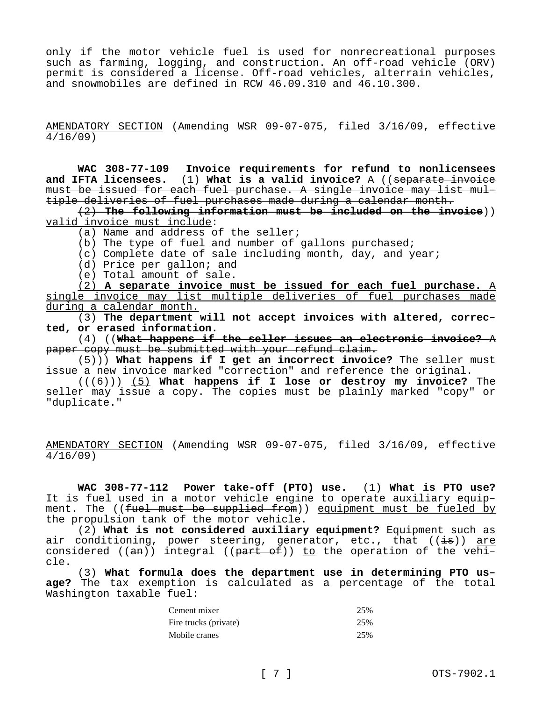only if the motor vehicle fuel is used for nonrecreational purposes such as farming, logging, and construction. An off-road vehicle (ORV) permit is considered a license. Off-road vehicles, alterrain vehicles, and snowmobiles are defined in RCW 46.09.310 and 46.10.300.

AMENDATORY SECTION (Amending WSR 09-07-075, filed 3/16/09, effective 4/16/09)

**WAC 308-77-109 Invoice requirements for refund to nonlicensees and IFTA licensees.** (1) **What is a valid invoice?** A ((separate invoice must be issued for each fuel purchase. A single invoice may list multiple deliveries of fuel purchases made during a calendar month.

(2) **The following information must be included on the invoice**)) valid invoice must include:

(a) Name and address of the seller;

(b) The type of fuel and number of gallons purchased;

(c) Complete date of sale including month, day, and year;

- (d) Price per gallon; and
- (e) Total amount of sale.

(2) **A separate invoice must be issued for each fuel purchase.** A single invoice may list multiple deliveries of fuel purchases made during a calendar month.

(3) **The department will not accept invoices with altered, corrected, or erased information.**

(4) ((**What happens if the seller issues an electronic invoice?** A paper copy must be submitted with your refund claim.

(5))) **What happens if I get an incorrect invoice?** The seller must issue a new invoice marked "correction" and reference the original.

(((6))) (5) **What happens if I lose or destroy my invoice?** The seller may issue a copy. The copies must be plainly marked "copy" or "duplicate."

AMENDATORY SECTION (Amending WSR 09-07-075, filed 3/16/09, effective 4/16/09)

**WAC 308-77-112 Power take-off (PTO) use.** (1) **What is PTO use?**  It is fuel used in a motor vehicle engine to operate auxiliary equipment. The ((fuel must be supplied from)) equipment must be fueled by the propulsion tank of the motor vehicle.

(2) **What is not considered auxiliary equipment?** Equipment such as air conditioning, power steering, generator, etc., that  $((\frac{1}{18}))$  are considered  $((an))$  integral  $((part of))$  to the operation of the vehicle.

(3) **What formula does the department use in determining PTO usage?** The tax exemption is calculated as a percentage of the total Washington taxable fuel:

| Cement mixer          | 25% |
|-----------------------|-----|
| Fire trucks (private) | 25% |
| Mobile cranes         | 25% |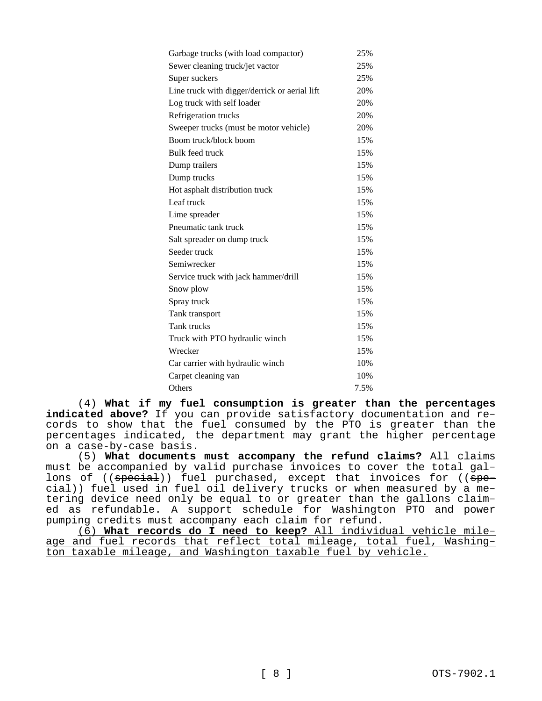| Garbage trucks (with load compactor)          | 25%  |
|-----------------------------------------------|------|
| Sewer cleaning truck/jet vactor               | 25%  |
| Super suckers                                 | 25%  |
| Line truck with digger/derrick or aerial lift | 20%  |
| Log truck with self loader                    | 20%  |
| Refrigeration trucks                          | 20%  |
| Sweeper trucks (must be motor vehicle)        | 20%  |
| Boom truck/block boom                         | 15%  |
| Bulk feed truck                               | 15%  |
| Dump trailers                                 | 15%  |
| Dump trucks                                   | 15%  |
| Hot asphalt distribution truck                | 15%  |
| Leaf truck                                    | 15%  |
| Lime spreader                                 | 15%  |
| Pneumatic tank truck                          | 15%  |
| Salt spreader on dump truck                   | 15%  |
| Seeder truck                                  | 15%  |
| Semiwrecker                                   | 15%  |
| Service truck with jack hammer/drill          | 15%  |
| Snow plow                                     | 15%  |
| Spray truck                                   | 15%  |
| Tank transport                                | 15%  |
| Tank trucks                                   | 15%  |
| Truck with PTO hydraulic winch                | 15%  |
| Wrecker                                       | 15%  |
| Car carrier with hydraulic winch              | 10%  |
| Carpet cleaning van                           | 10%  |
| Others                                        | 7.5% |

(4) **What if my fuel consumption is greater than the percentages indicated above?** If you can provide satisfactory documentation and records to show that the fuel consumed by the PTO is greater than the percentages indicated, the department may grant the higher percentage on a case-by-case basis.

(5) **What documents must accompany the refund claims?** All claims must be accompanied by valid purchase invoices to cover the total gallons of ((special)) fuel purchased, except that invoices for ((speeial)) fuel used in fuel oil delivery trucks or when measured by a metering device need only be equal to or greater than the gallons claimed as refundable. A support schedule for Washington PTO and power pumping credits must accompany each claim for refund.

(6) **What records do I need to keep?** All individual vehicle mileage and fuel records that reflect total mileage, total fuel, Washington taxable mileage, and Washington taxable fuel by vehicle.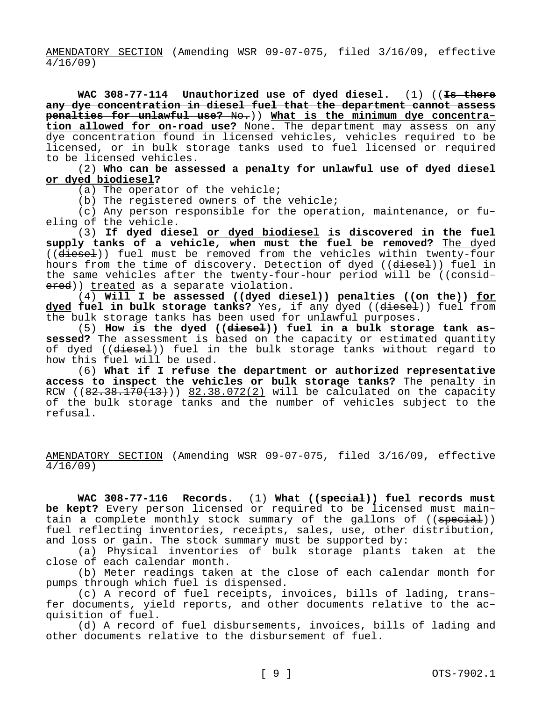AMENDATORY SECTION (Amending WSR 09-07-075, filed 3/16/09, effective 4/16/09)

**WAC 308-77-114 Unauthorized use of dyed diesel.** (1) ((**Is there any dye concentration in diesel fuel that the department cannot assess penalties for unlawful use?** No.)) **What is the minimum dye concentration allowed for on-road use?** None. The department may assess on any dye concentration found in licensed vehicles, vehicles required to be licensed, or in bulk storage tanks used to fuel licensed or required to be licensed vehicles.

(2) **Who can be assessed a penalty for unlawful use of dyed diesel or dyed biodiesel?**

(a) The operator of the vehicle;

(b) The registered owners of the vehicle;

(c) Any person responsible for the operation, maintenance, or fueling of the vehicle.

(3) **If dyed diesel or dyed biodiesel is discovered in the fuel supply tanks of a vehicle, when must the fuel be removed?** The dyed ((diesel)) fuel must be removed from the vehicles within twenty-four hours from the time of discovery. Detection of dyed ((diesel)) fuel in the same vehicles after the twenty-four-hour period will be ((considered)) treated as a separate violation.

(4) **Will I be assessed ((dyed diesel)) penalties ((on the)) for dyed fuel in bulk storage tanks?** Yes, if any dyed ((diesel)) fuel from the bulk storage tanks has been used for unlawful purposes.

(5) **How is the dyed ((diesel)) fuel in a bulk storage tank assessed?** The assessment is based on the capacity or estimated quantity of dyed ((diesel)) fuel in the bulk storage tanks without regard to how this fuel will be used.

(6) **What if I refuse the department or authorized representative access to inspect the vehicles or bulk storage tanks?** The penalty in RCW ( $(82.38.170(13))$   $82.38.072(2)$  will be calculated on the capacity of the bulk storage tanks and the number of vehicles subject to the refusal.

AMENDATORY SECTION (Amending WSR 09-07-075, filed 3/16/09, effective 4/16/09)

**WAC 308-77-116 Records.** (1) **What ((special)) fuel records must be kept?** Every person licensed or required to be licensed must maintain a complete monthly stock summary of the gallons of ((special)) fuel reflecting inventories, receipts, sales, use, other distribution, and loss or gain. The stock summary must be supported by:

(a) Physical inventories of bulk storage plants taken at the close of each calendar month.

(b) Meter readings taken at the close of each calendar month for pumps through which fuel is dispensed.

(c) A record of fuel receipts, invoices, bills of lading, transfer documents, yield reports, and other documents relative to the acquisition of fuel.

(d) A record of fuel disbursements, invoices, bills of lading and other documents relative to the disbursement of fuel.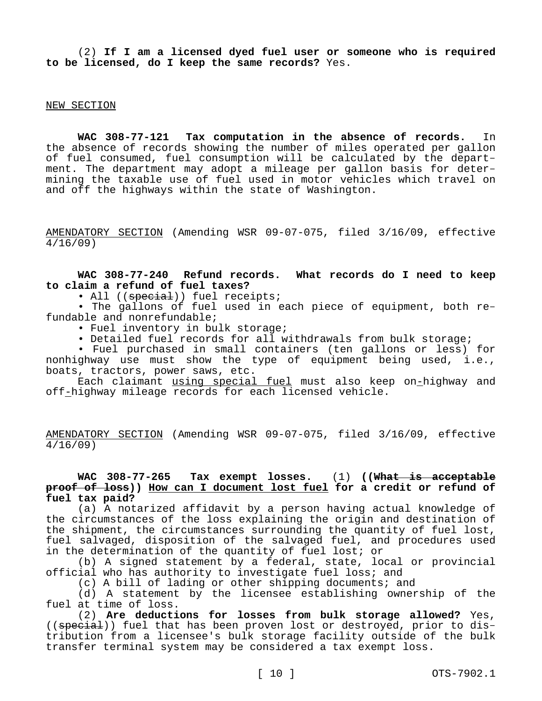(2) **If I am a licensed dyed fuel user or someone who is required to be licensed, do I keep the same records?** Yes.

#### NEW SECTION

**WAC 308-77-121 Tax computation in the absence of records.** In the absence of records showing the number of miles operated per gallon of fuel consumed, fuel consumption will be calculated by the department. The department may adopt a mileage per gallon basis for determining the taxable use of fuel used in motor vehicles which travel on and off the highways within the state of Washington.

AMENDATORY SECTION (Amending WSR 09-07-075, filed 3/16/09, effective 4/16/09)

**WAC 308-77-240 Refund records. What records do I need to keep to claim a refund of fuel taxes?**

• All ((special)) fuel receipts;

• The gallons of fuel used in each piece of equipment, both refundable and nonrefundable;

• Fuel inventory in bulk storage;

• Detailed fuel records for all withdrawals from bulk storage;

• Fuel purchased in small containers (ten gallons or less) for nonhighway use must show the type of equipment being used, i.e., boats, tractors, power saws, etc.

Each claimant using special fuel must also keep on-highway and off-highway mileage records for each licensed vehicle.

AMENDATORY SECTION (Amending WSR 09-07-075, filed 3/16/09, effective 4/16/09)

# **WAC 308-77-265 Tax exempt losses.** (1) **((What is acceptable proof of loss)) How can I document lost fuel for a credit or refund of fuel tax paid?**

(a) A notarized affidavit by a person having actual knowledge of the circumstances of the loss explaining the origin and destination of the shipment, the circumstances surrounding the quantity of fuel lost, fuel salvaged, disposition of the salvaged fuel, and procedures used in the determination of the quantity of fuel lost; or

(b) A signed statement by a federal, state, local or provincial official who has authority to investigate fuel loss; and

(c) A bill of lading or other shipping documents; and

(d) A statement by the licensee establishing ownership of the fuel at time of loss.

(2) **Are deductions for losses from bulk storage allowed?** Yes, ((special)) fuel that has been proven lost or destroyed, prior to distribution from a licensee's bulk storage facility outside of the bulk transfer terminal system may be considered a tax exempt loss.